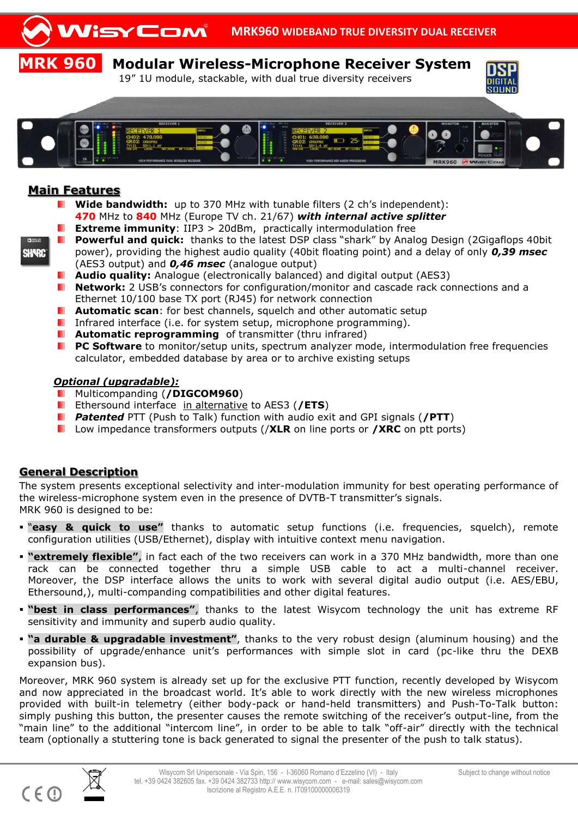

### **Main Features**

- **Wide bandwidth:** up to 370 MHz with tunable filters (2 ch's independent): **470** MHz to **840** MHz (Europe TV ch. 21/67) *with internal active splitter*
- ٠. **Extreme immunity**: IIP3 > 20dBm, practically intermodulation free
- **Powerful and quick:** thanks to the latest DSP class "shark" by Analog Design (2Gigaflops 40bit power), providing the highest audio quality (40bit floating point) and a delay of only *0,39 msec* (AES3 output) and *0,46 msec* (analogue output)
	- **Audio quality:** Analogue (electronically balanced) and digital output (AES3)
- **Network:** 2 USB's connectors for configuration/monitor and cascade rack connections and a Ethernet 10/100 base TX port (RJ45) for network connection
- **Automatic scan**: for best channels, squelch and other automatic setup .
- **Infrared interface (i.e. for system setup, microphone programming).**
- **Automatic reprogramming** of transmitter (thru infrared)
- **PC Software** to monitor/setup units, spectrum analyzer mode, intermodulation free frequencies . calculator, embedded database by area or to archive existing setups

#### *Optional (upgradable):*

- Multicompanding (**/DIGCOM960**) .
- Ethersound interface in alternative to AES3 (**/ETS**)
- **Patented** PTT (Push to Talk) function with audio exit and GPI signals (**/PTT**)
- **L** Low impedance transformers outputs (**/XLR** on line ports or **/XRC** on ptt ports)

#### **General Description**

The system presents exceptional selectivity and inter-modulation immunity for best operating performance of the wireless-microphone system even in the presence of DVTB-T transmitter's signals. MRK 960 is designed to be:

- "**easy & quick to use"** thanks to automatic setup functions (i.e. frequencies, squelch), remote configuration utilities (USB/Ethernet), display with intuitive context menu navigation.
- **"extremely flexible"**, in fact each of the two receivers can work in a 370 MHz bandwidth, more than one rack can be connected together thru a simple USB cable to act a multi-channel receiver. Moreover, the DSP interface allows the units to work with several digital audio output (i.e. AES/EBU, Ethersound,), multi-companding compatibilities and other digital features.
- **"best in class performances"**, thanks to the latest Wisycom technology the unit has extreme RF sensitivity and immunity and superb audio quality.
- **"a durable & upgradable investment"**, thanks to the very robust design (aluminum housing) and the possibility of upgrade/enhance unit's performances with simple slot in card (pc-like thru the DEXB expansion bus).

Moreover, MRK 960 system is already set up for the exclusive PTT function, recently developed by Wisycom and now appreciated in the broadcast world. It's able to work directly with the new wireless microphones provided with built-in telemetry (either body-pack or hand-held transmitters) and Push-To-Talk button: simply pushing this button, the presenter causes the remote switching of the receiver's output-line, from the "main line" to the additional "intercom line", in order to be able to talk "off-air" directly with the technical team (optionally a stuttering tone is back generated to signal the presenter of the push to talk status).

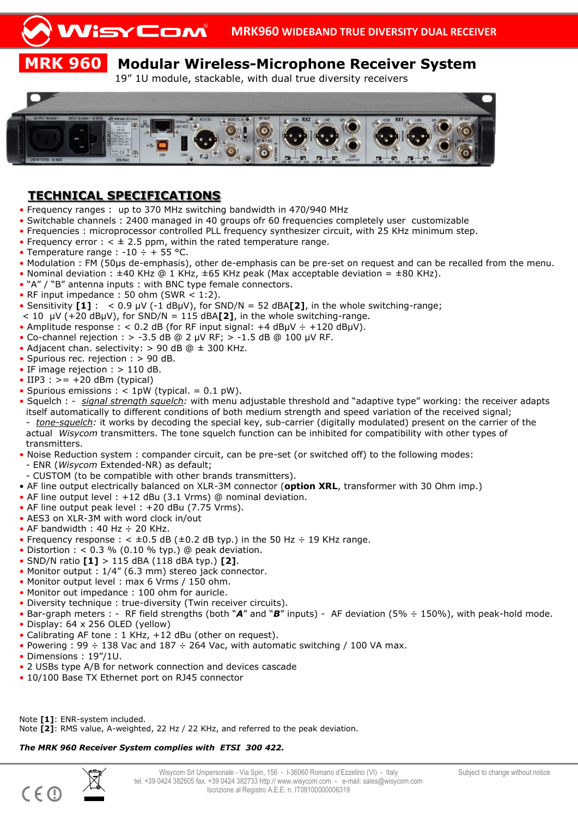# **MRK 960 Modular Wireless-Microphone Receiver System**

19" 1U module, stackable, with dual true diversity receivers



### **TECHNICAL SPECIFICATIONS**

- Frequency ranges : up to 370 MHz switching bandwidth in 470/940 MHz
- Switchable channels : 2400 managed in 40 groups ofr 60 frequencies completely user customizable
- Frequencies : microprocessor controlled PLL frequency synthesizer circuit, with 25 KHz minimum step.
- Frequency error  $:$  <  $\pm$  2.5 ppm, within the rated temperature range.
- Temperature range :  $-10 \div + 55$  °C.
- Modulation : FM (50µs de-emphasis), other de-emphasis can be pre-set on request and can be recalled from the menu.
- Nominal deviation :  $\pm 40$  KHz @ 1 KHz,  $\pm 65$  KHz peak (Max acceptable deviation =  $\pm 80$  KHz).
- "A" / "B" antenna inputs : with BNC type female connectors.
- RF input impedance : 50 ohm (SWR  $\lt$  1:2).
- Sensitivity **[1]** : < 0.9 µV (-1 dBµV), for SND/N = 52 dBA**[2]**, in the whole switching-range;
- $<$  10  $\mu$ V (+20 dB $\mu$ V), for SND/N = 115 dBA**[2]**, in the whole switching-range.
- Amplitude response : < 0.2 dB (for RF input signal: +4 dB $\mu$ V ÷ +120 dB $\mu$ V).
- Co-channel rejection :  $> -3.5$  dB @ 2 µV RF;  $> -1.5$  dB @ 100 µV RF.
- Adjacent chan. selectivity: > 90 dB @ ± 300 KHz.
- Spurious rec. rejection : > 90 dB.
- IF image rejection : > 110 dB.
- IIP3 :  $\geq$  = +20 dBm (typical)
- Spurious emissions :  $< 1$ pW (typical. = 0.1 pW).
- Squelch : *signal strength squelch:* with menu adjustable threshold and "adaptive type" working: the receiver adapts itself automatically to different conditions of both medium strength and speed variation of the received signal; - *tone-squelch:* it works by decoding the special key, sub-carrier (digitally modulated) present on the carrier of the actual *Wisycom* transmitters. The tone squelch function can be inhibited for compatibility with other types of transmitters.
- Noise Reduction system : compander circuit, can be pre-set (or switched off) to the following modes:
- ENR (*Wisycom* Extended-NR) as default;
- CUSTOM (to be compatible with other brands transmitters).
- AF line output electrically balanced on XLR-3M connector (**option XRL**, transformer with 30 Ohm imp.)
- AF line output level : +12 dBu (3.1 Vrms) @ nominal deviation.
- AF line output peak level : +20 dBu (7.75 Vrms).
- AES3 on XLR-3M with word clock in/out
- AF bandwidth : 40 Hz  $\div$  20 KHz.
- Frequency response :  $\lt \pm 0.5$  dB ( $\pm 0.2$  dB typ.) in the 50 Hz  $\div$  19 KHz range.
- Distortion :  $< 0.3$  % (0.10 % typ.) @ peak deviation.
- SND/N ratio **[1]** > 115 dBA (118 dBA typ.) **[2]**.
- Monitor output : 1/4" (6.3 mm) stereo jack connector.
- Monitor output level : max 6 Vrms / 150 ohm.
- Monitor out impedance : 100 ohm for auricle.
- Diversity technique : true-diversity (Twin receiver circuits).
- Bar-graph meters : RF field strengths (both "*A*" and "*B*" inputs) AF deviation (5% ÷ 150%), with peak-hold mode.
- Display: 64 x 256 OLED (yellow)
- Calibrating AF tone : 1 KHz, +12 dBu (other on request).
- Powering : 99  $\div$  138 Vac and 187  $\div$  264 Vac, with automatic switching / 100 VA max.
- Dimensions : 19"/1U.
- 2 USBs type A/B for network connection and devices cascade
- 10/100 Base TX Ethernet port on RJ45 connector

Note **[1]**: ENR-system included. Note **[2]**: RMS value, A-weighted, 22 Hz / 22 KHz, and referred to the peak deviation.

#### *The MRK 960 Receiver System complies with ETSI 300 422.*

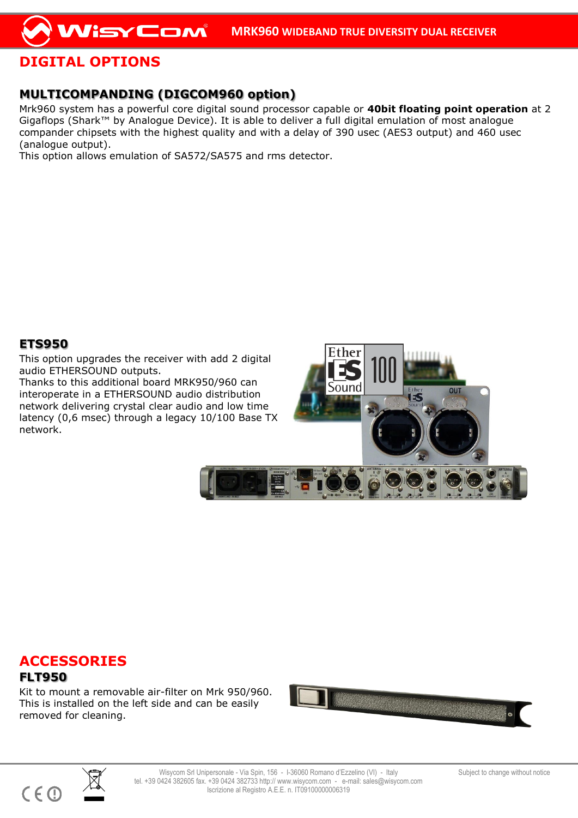# **DIGITAL OPTIONS**

## **MULTICOMPANDING (DIGCOM960 option)**

Mrk960 system has a powerful core digital sound processor capable or **40bit floating point operation** at 2 Gigaflops (Shark™ by Analogue Device). It is able to deliver a full digital emulation of most analogue compander chipsets with the highest quality and with a delay of 390 usec (AES3 output) and 460 usec (analogue output).

This option allows emulation of SA572/SA575 and rms detector.

### **ETS950**

This option upgrades the receiver with add 2 digital audio ETHERSOUND outputs.

Thanks to this additional board MRK950/960 can interoperate in a ETHERSOUND audio distribution network delivering crystal clear audio and low time latency (0,6 msec) through a legacy 10/100 Base TX network.



Ether

# **ACCESSORIES**

#### **FLT950**

Kit to mount a removable air-filter on Mrk 950/960. This is installed on the left side and can be easily removed for cleaning.